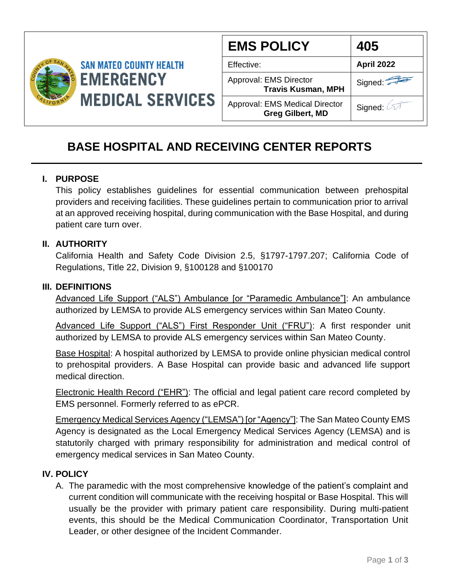

| <b>EMS POLICY</b>                                                | 405        |
|------------------------------------------------------------------|------------|
| Effective:                                                       | April 2022 |
| Approval: EMS Director<br><b>Travis Kusman, MPH</b>              | Signed:    |
| <b>Approval: EMS Medical Director</b><br><b>Greg Gilbert, MD</b> | Signed:    |

# **BASE HOSPITAL AND RECEIVING CENTER REPORTS**

## **I. PURPOSE**

This policy establishes guidelines for essential communication between prehospital providers and receiving facilities. These guidelines pertain to communication prior to arrival at an approved receiving hospital, during communication with the Base Hospital, and during patient care turn over.

#### **II. AUTHORITY**

California Health and Safety Code Division 2.5, §1797-1797.207; California Code of Regulations, Title 22, Division 9, §100128 and §100170

#### **III. DEFINITIONS**

Advanced Life Support ("ALS") Ambulance [or "Paramedic Ambulance"]: An ambulance authorized by LEMSA to provide ALS emergency services within San Mateo County.

Advanced Life Support ("ALS") First Responder Unit ("FRU"): A first responder unit authorized by LEMSA to provide ALS emergency services within San Mateo County.

Base Hospital: A hospital authorized by LEMSA to provide online physician medical control to prehospital providers. A Base Hospital can provide basic and advanced life support medical direction.

Electronic Health Record ("EHR"): The official and legal patient care record completed by EMS personnel. Formerly referred to as ePCR.

Emergency Medical Services Agency ("LEMSA") [or "Agency"]: The San Mateo County EMS Agency is designated as the Local Emergency Medical Services Agency (LEMSA) and is statutorily charged with primary responsibility for administration and medical control of emergency medical services in San Mateo County.

#### **IV. POLICY**

A. The paramedic with the most comprehensive knowledge of the patient's complaint and current condition will communicate with the receiving hospital or Base Hospital. This will usually be the provider with primary patient care responsibility. During multi-patient events, this should be the Medical Communication Coordinator, Transportation Unit Leader, or other designee of the Incident Commander.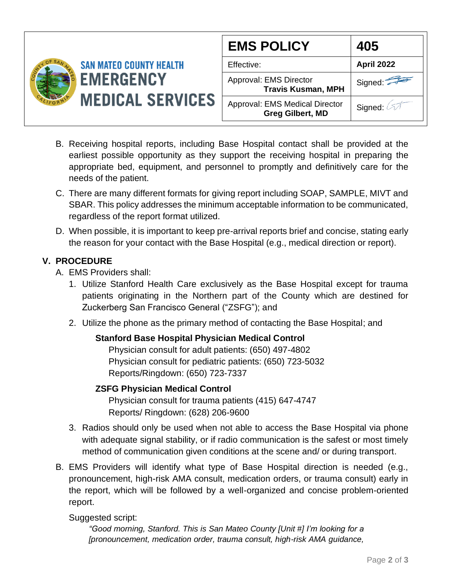

- B. Receiving hospital reports, including Base Hospital contact shall be provided at the earliest possible opportunity as they support the receiving hospital in preparing the appropriate bed, equipment, and personnel to promptly and definitively care for the needs of the patient.
- C. There are many different formats for giving report including SOAP, SAMPLE, MIVT and SBAR. This policy addresses the minimum acceptable information to be communicated, regardless of the report format utilized.
- D. When possible, it is important to keep pre-arrival reports brief and concise, stating early the reason for your contact with the Base Hospital (e.g., medical direction or report).

## **V. PROCEDURE**

- A. EMS Providers shall:
	- 1. Utilize Stanford Health Care exclusively as the Base Hospital except for trauma patients originating in the Northern part of the County which are destined for Zuckerberg San Francisco General ("ZSFG"); and
	- 2. Utilize the phone as the primary method of contacting the Base Hospital; and

## **Stanford Base Hospital Physician Medical Control**

Physician consult for adult patients: (650) 497-4802 Physician consult for pediatric patients: (650) 723-5032 Reports/Ringdown: (650) 723-7337

## **ZSFG Physician Medical Control**

Physician consult for trauma patients (415) 647-4747 Reports/ Ringdown: (628) 206-9600

- 3. Radios should only be used when not able to access the Base Hospital via phone with adequate signal stability, or if radio communication is the safest or most timely method of communication given conditions at the scene and/ or during transport.
- B. EMS Providers will identify what type of Base Hospital direction is needed (e.g., pronouncement, high-risk AMA consult, medication orders, or trauma consult) early in the report, which will be followed by a well-organized and concise problem-oriented report.

## Suggested script:

*"Good morning, Stanford. This is San Mateo County [Unit #] I'm looking for a [pronouncement, medication order, trauma consult, high-risk AMA guidance,*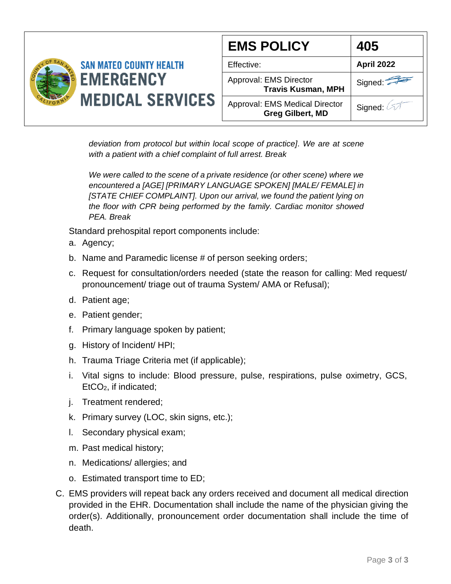|                                                                               |                                                           | <b>EMS POLICY</b>                | 405 |
|-------------------------------------------------------------------------------|-----------------------------------------------------------|----------------------------------|-----|
| <b>SAN MATEO COUNTY HEALTH</b><br><b>EMERGENCY</b><br><b>MEDICAL SERVICES</b> | Effective:                                                | <b>April 2022</b>                |     |
|                                                                               | Approval: EMS Director<br><b>Travis Kusman, MPH</b>       | Signed: $\overline{\phantom{a}}$ |     |
|                                                                               | Approval: EMS Medical Director<br><b>Greg Gilbert, MD</b> | Signed:                          |     |

*deviation from protocol but within local scope of practice]. We are at scene with a patient with a chief complaint of full arrest. Break*

*We were called to the scene of a private residence (or other scene) where we encountered a [AGE] [PRIMARY LANGUAGE SPOKEN] [MALE/ FEMALE] in [STATE CHIEF COMPLAINT]. Upon our arrival, we found the patient lying on the floor with CPR being performed by the family. Cardiac monitor showed PEA. Break*

Standard prehospital report components include:

- a. Agency;
- b. Name and Paramedic license # of person seeking orders;
- c. Request for consultation/orders needed (state the reason for calling: Med request/ pronouncement/ triage out of trauma System/ AMA or Refusal);
- d. Patient age;
- e. Patient gender;
- f. Primary language spoken by patient;
- g. History of Incident/ HPI;
- h. Trauma Triage Criteria met (if applicable);
- i. Vital signs to include: Blood pressure, pulse, respirations, pulse oximetry, GCS, EtCO2, if indicated;
- j. Treatment rendered;
- k. Primary survey (LOC, skin signs, etc.);
- l. Secondary physical exam;
- m. Past medical history;
- n. Medications/ allergies; and
- o. Estimated transport time to ED;
- C. EMS providers will repeat back any orders received and document all medical direction provided in the EHR. Documentation shall include the name of the physician giving the order(s). Additionally, pronouncement order documentation shall include the time of death.